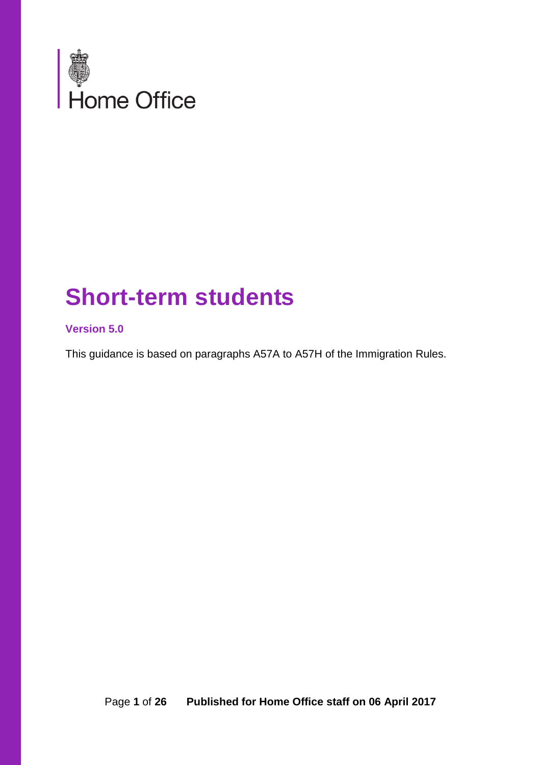

# **Short-term students**

#### **Version 5.0**

This guidance is based on paragraphs A57A to A57H of the Immigration Rules.

Page **1** of **26 Published for Home Office staff on 06 April 2017**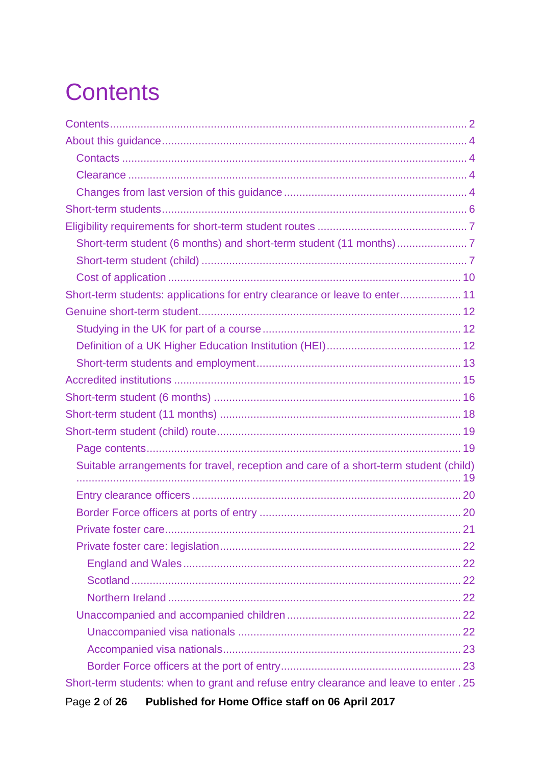# <span id="page-1-0"></span>**Contents**

| Suitable arrangements for travel, reception and care of a short-term student (child)  |
|---------------------------------------------------------------------------------------|
|                                                                                       |
|                                                                                       |
|                                                                                       |
|                                                                                       |
|                                                                                       |
|                                                                                       |
|                                                                                       |
|                                                                                       |
|                                                                                       |
|                                                                                       |
|                                                                                       |
| Short-term students: when to grant and refuse entry clearance and leave to enter . 25 |
| Published for Home Office staff on 06 April 2017<br>Page 2 of 26                      |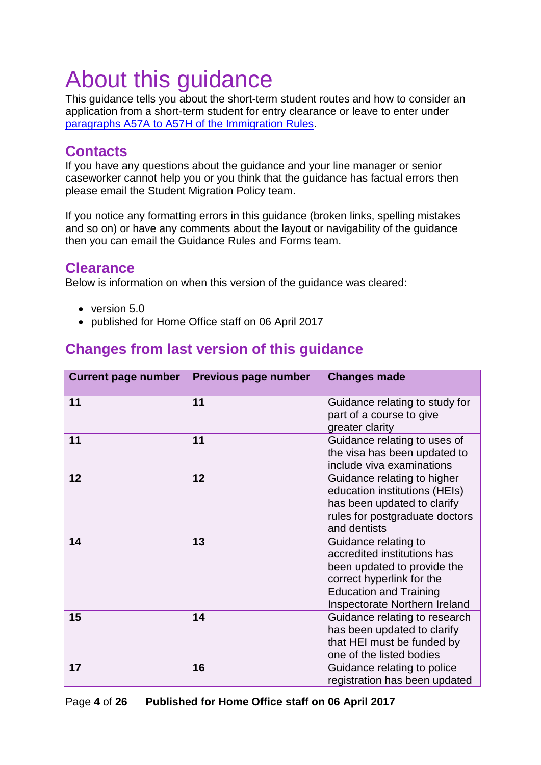# <span id="page-3-0"></span>About this guidance

This guidance tells you about the short-term student routes and how to consider an application from a short-term student for entry clearance or leave to enter under [paragraphs A57A to A57H of the Immigration Rules.](https://www.gov.uk/guidance/immigration-rules/immigration-rules-part-3-students)

### <span id="page-3-1"></span>**Contacts**

If you have any questions about the guidance and your line manager or senior caseworker cannot help you or you think that the guidance has factual errors then please email the Student Migration Policy team.

If you notice any formatting errors in this guidance (broken links, spelling mistakes and so on) or have any comments about the layout or navigability of the guidance then you can email the Guidance Rules and Forms team.

### <span id="page-3-2"></span>**Clearance**

Below is information on when this version of the guidance was cleared:

- version 5.0
- published for Home Office staff on 06 April 2017

### <span id="page-3-3"></span>**Changes from last version of this guidance**

| <b>Current page number</b> | Previous page number | <b>Changes made</b>                                                                                                                                                               |
|----------------------------|----------------------|-----------------------------------------------------------------------------------------------------------------------------------------------------------------------------------|
| 11                         | 11                   | Guidance relating to study for<br>part of a course to give<br>greater clarity                                                                                                     |
| 11                         | 11                   | Guidance relating to uses of<br>the visa has been updated to<br>include viva examinations                                                                                         |
| 12                         | 12                   | Guidance relating to higher<br>education institutions (HEIs)<br>has been updated to clarify<br>rules for postgraduate doctors<br>and dentists                                     |
| 14                         | 13                   | Guidance relating to<br>accredited institutions has<br>been updated to provide the<br>correct hyperlink for the<br><b>Education and Training</b><br>Inspectorate Northern Ireland |
| 15                         | 14                   | Guidance relating to research<br>has been updated to clarify<br>that HEI must be funded by<br>one of the listed bodies                                                            |
| 17                         | 16                   | Guidance relating to police<br>registration has been updated                                                                                                                      |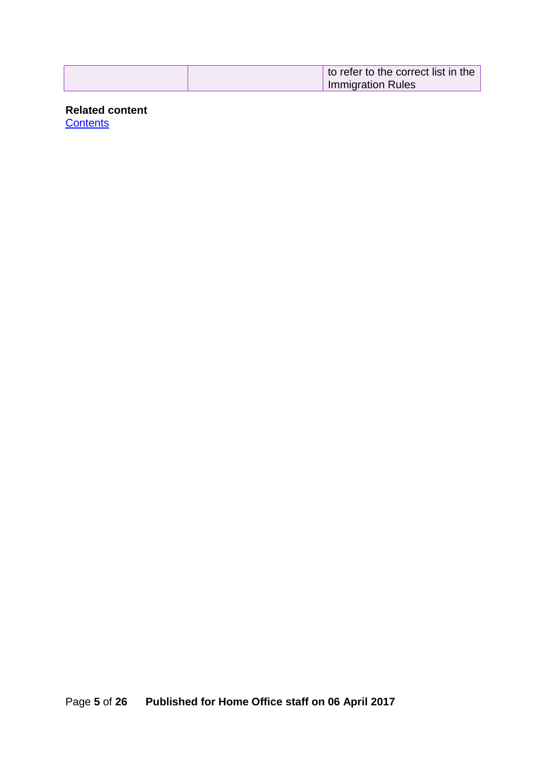| to refer to the correct list in the |
|-------------------------------------|
| <b>Immigration Rules</b>            |

**Related content**

**[Contents](#page-1-0)**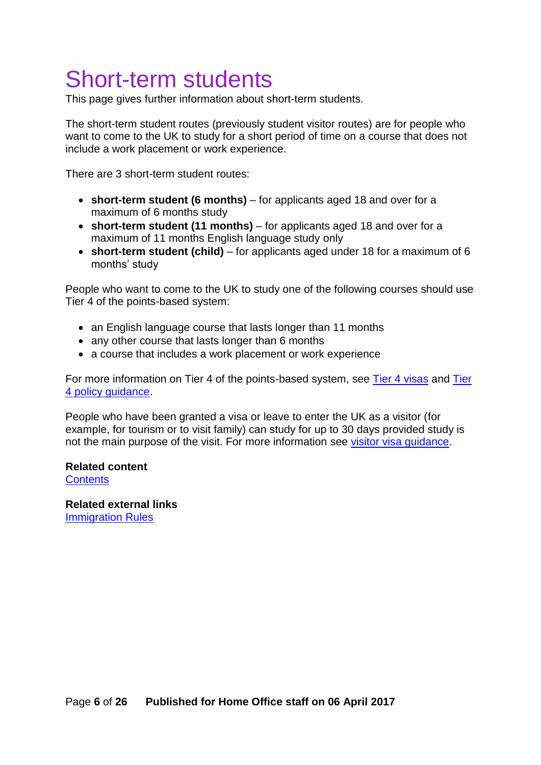# <span id="page-5-0"></span>Short-term students

This page gives further information about short-term students.

The short-term student routes (previously student visitor routes) are for people who want to come to the UK to study for a short period of time on a course that does not include a work placement or work experience.

There are 3 short-term student routes:

- **short-term student (6 months)** for applicants aged 18 and over for a maximum of 6 months study
- **short-term student (11 months)** for applicants aged 18 and over for a maximum of 11 months English language study only
- **short-term student (child)** for applicants aged under 18 for a maximum of 6 months' study

People who want to come to the UK to study one of the following courses should use Tier 4 of the points-based system:

- an English language course that lasts longer than 11 months
- any other course that lasts longer than 6 months
- a course that includes a work placement or work experience

For more information on Tier 4 of the points-based system, see [Tier 4 visas](https://www.gov.uk/browse/visas-immigration/student-visas) and [Tier](https://www.gov.uk/government/publications/guidance-on-application-for-uk-visa-as-tier-4-student)  [4 policy guidance.](https://www.gov.uk/government/publications/guidance-on-application-for-uk-visa-as-tier-4-student)

People who have been granted a visa or leave to enter the UK as a visitor (for example, for tourism or to visit family) can study for up to 30 days provided study is not the main purpose of the visit. For more information see [visitor visa guidance.](https://www.gov.uk/standard-visitor-visa)

#### **Related content [Contents](#page-1-0)**

**Related external links** [Immigration Rules](https://www.gov.uk/government/collections/immigration-rules)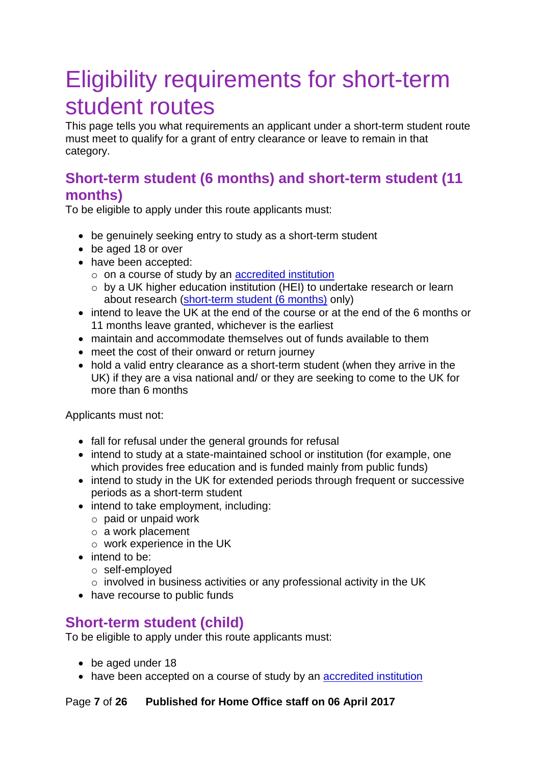# <span id="page-6-0"></span>Eligibility requirements for short-term student routes

This page tells you what requirements an applicant under a short-term student route must meet to qualify for a grant of entry clearance or leave to remain in that category.

### <span id="page-6-1"></span>**Short-term student (6 months) and short-term student (11 months)**

To be eligible to apply under this route applicants must:

- be genuinely seeking entry to study as a short-term student
- be aged 18 or over
- have been accepted:
	- o on a course of study by an [accredited institution](#page-13-0)
	- o by a UK higher education institution (HEI) to undertake research or learn about research [\(short-term student \(6 months\)](#page-15-0) only)
- intend to leave the UK at the end of the course or at the end of the 6 months or 11 months leave granted, whichever is the earliest
- maintain and accommodate themselves out of funds available to them
- meet the cost of their onward or return journey
- hold a valid entry clearance as a short-term student (when they arrive in the UK) if they are a visa national and/ or they are seeking to come to the UK for more than 6 months

Applicants must not:

- fall for refusal under the general grounds for refusal
- intend to study at a state-maintained school or institution (for example, one which provides free education and is funded mainly from public funds)
- intend to study in the UK for extended periods through frequent or successive periods as a short-term student
- intend to take employment, including:
	- o paid or unpaid work
	- o a work placement
	- o work experience in the UK
- intend to be:
	- o self-employed
	- $\circ$  involved in business activities or any professional activity in the UK
- have recourse to public funds

### <span id="page-6-2"></span>**Short-term student (child)**

To be eligible to apply under this route applicants must:

- be aged under 18
- have been accepted on a course of study by an [accredited institution](#page-13-0)

#### Page **7** of **26 Published for Home Office staff on 06 April 2017**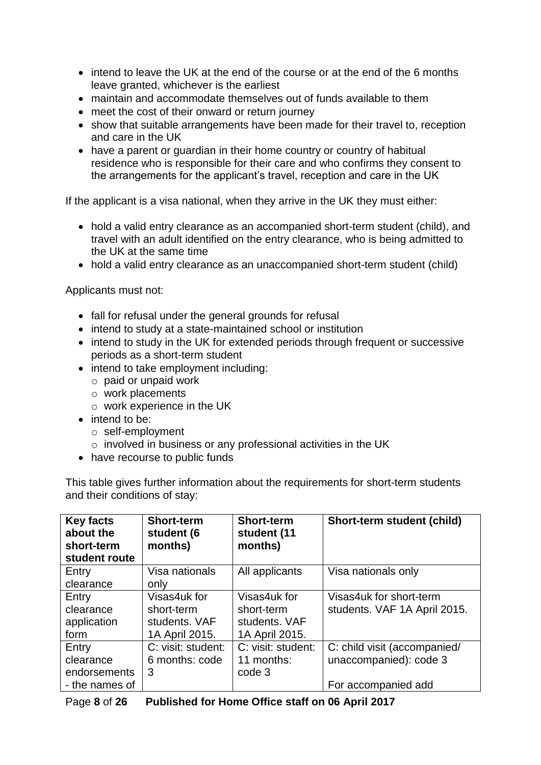- intend to leave the UK at the end of the course or at the end of the 6 months leave granted, whichever is the earliest
- maintain and accommodate themselves out of funds available to them
- meet the cost of their onward or return journey
- show that suitable arrangements have been made for their travel to, reception and care in the UK
- have a parent or guardian in their home country or country of habitual residence who is responsible for their care and who confirms they consent to the arrangements for the applicant's travel, reception and care in the UK

If the applicant is a visa national, when they arrive in the UK they must either:

- hold a valid entry clearance as an accompanied short-term student (child), and travel with an adult identified on the entry clearance, who is being admitted to the UK at the same time
- hold a valid entry clearance as an unaccompanied short-term student (child)

Applicants must not:

- fall for refusal under the general grounds for refusal
- intend to study at a state-maintained school or institution
- intend to study in the UK for extended periods through frequent or successive periods as a short-term student
- intend to take employment including:
	- o paid or unpaid work
	- o work placements
	- o work experience in the UK
- intend to be:
	- o self-employment
	- o involved in business or any professional activities in the UK
- have recourse to public funds

This table gives further information about the requirements for short-term students and their conditions of stay:

| <b>Key facts</b><br>about the<br>short-term<br>student route | <b>Short-term</b><br>student (6<br>months) | <b>Short-term</b><br>student (11<br>months) | Short-term student (child)   |
|--------------------------------------------------------------|--------------------------------------------|---------------------------------------------|------------------------------|
| Entry                                                        | Visa nationals                             | All applicants                              | Visa nationals only          |
| clearance                                                    | only                                       |                                             |                              |
| Entry                                                        | Visas4uk for                               | Visas4uk for                                | Visas4uk for short-term      |
| clearance                                                    | short-term                                 | short-term                                  | students. VAF 1A April 2015. |
| application                                                  | students, VAF                              | students, VAF                               |                              |
| form                                                         | 1A April 2015.                             | 1A April 2015.                              |                              |
| Entry                                                        | C: visit: student:                         | C: visit: student:                          | C: child visit (accompanied/ |
| clearance                                                    | 6 months: code                             | 11 months:                                  | unaccompanied): code 3       |
| endorsements                                                 | 3                                          | code 3                                      |                              |
| - the names of                                               |                                            |                                             | For accompanied add          |

| Page 8 of 26 | Published for Home Office staff on 06 April 2017 |
|--------------|--------------------------------------------------|
|              |                                                  |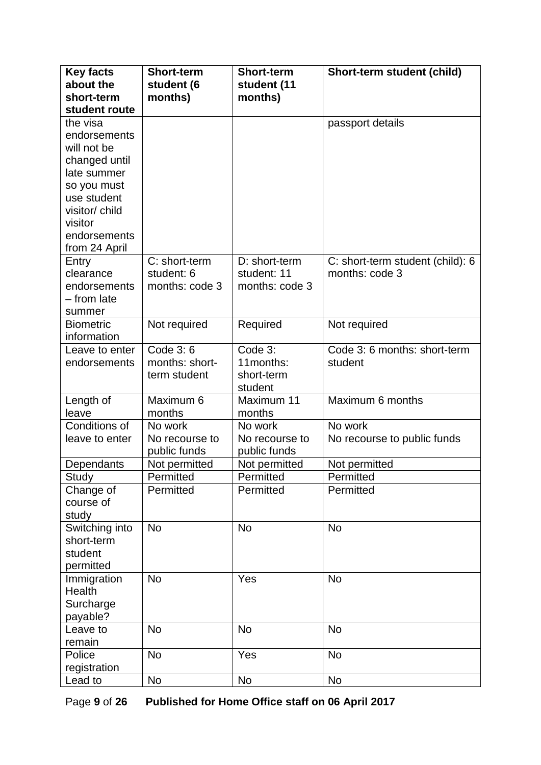| <b>Key facts</b><br>about the | <b>Short-term</b><br>student (6 | <b>Short-term</b><br>student (11 | Short-term student (child)       |
|-------------------------------|---------------------------------|----------------------------------|----------------------------------|
| short-term                    | months)                         | months)                          |                                  |
| student route                 |                                 |                                  |                                  |
| the visa                      |                                 |                                  | passport details                 |
| endorsements                  |                                 |                                  |                                  |
| will not be                   |                                 |                                  |                                  |
| changed until                 |                                 |                                  |                                  |
| late summer<br>so you must    |                                 |                                  |                                  |
| use student                   |                                 |                                  |                                  |
| visitor/child                 |                                 |                                  |                                  |
| visitor                       |                                 |                                  |                                  |
| endorsements                  |                                 |                                  |                                  |
| from 24 April                 |                                 |                                  |                                  |
| Entry                         | C: short-term                   | D: short-term                    | C: short-term student (child): 6 |
| clearance                     | student: 6                      | student: 11                      | months: code 3                   |
| endorsements                  | months: code 3                  | months: code 3                   |                                  |
| - from late                   |                                 |                                  |                                  |
| summer<br><b>Biometric</b>    |                                 |                                  |                                  |
| information                   | Not required                    | Required                         | Not required                     |
| Leave to enter                | Code 3:6                        | Code 3:                          | Code 3: 6 months: short-term     |
| endorsements                  | months: short-                  | 11months:                        | student                          |
|                               | term student                    | short-term                       |                                  |
|                               |                                 | student                          |                                  |
| Length of                     | Maximum 6                       | Maximum 11                       | Maximum 6 months                 |
| leave                         | months                          | months                           |                                  |
| Conditions of                 | No work                         | No work                          | No work                          |
| leave to enter                | No recourse to<br>public funds  | No recourse to<br>public funds   | No recourse to public funds      |
| Dependants                    | Not permitted                   | Not permitted                    | Not permitted                    |
| Study                         | Permitted                       | Permitted                        | Permitted                        |
| Change of                     | Permitted                       | Permitted                        | Permitted                        |
| course of                     |                                 |                                  |                                  |
| study                         |                                 |                                  |                                  |
| Switching into<br>short-term  | <b>No</b>                       | <b>No</b>                        | <b>No</b>                        |
| student                       |                                 |                                  |                                  |
| permitted                     |                                 |                                  |                                  |
| Immigration                   | <b>No</b>                       | Yes                              | <b>No</b>                        |
| Health                        |                                 |                                  |                                  |
| Surcharge                     |                                 |                                  |                                  |
| payable?                      |                                 |                                  |                                  |
| Leave to                      | <b>No</b>                       | <b>No</b>                        | <b>No</b>                        |
| remain                        |                                 |                                  |                                  |
| Police                        | <b>No</b>                       | Yes                              | <b>No</b>                        |
| registration                  |                                 |                                  |                                  |
| Lead to                       | No                              | <b>No</b>                        | <b>No</b>                        |

Page **9** of **26 Published for Home Office staff on 06 April 2017**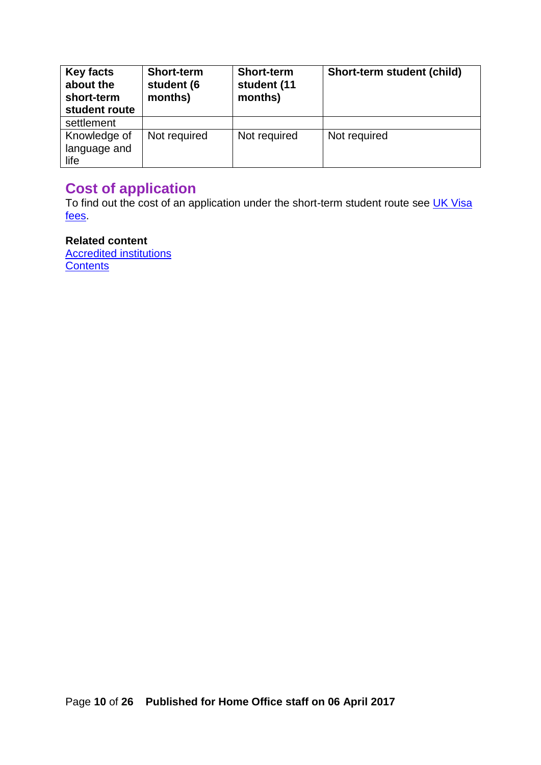| Key facts<br>about the<br>short-term<br>student route | <b>Short-term</b><br>student (6<br>months) | <b>Short-term</b><br>student (11<br>months) | Short-term student (child) |
|-------------------------------------------------------|--------------------------------------------|---------------------------------------------|----------------------------|
| settlement                                            |                                            |                                             |                            |
| Knowledge of<br>language and<br>life                  | Not required                               | Not required                                | Not required               |

### <span id="page-9-0"></span>**Cost of application**

To find out the cost of an application under the short-term student route see **UK Visa** [fees.](https://www.gov.uk/government/publications/visa-regulations-revised-table)

### **Related content**

[Accredited institutions](#page-13-0) **[Contents](#page-1-0)**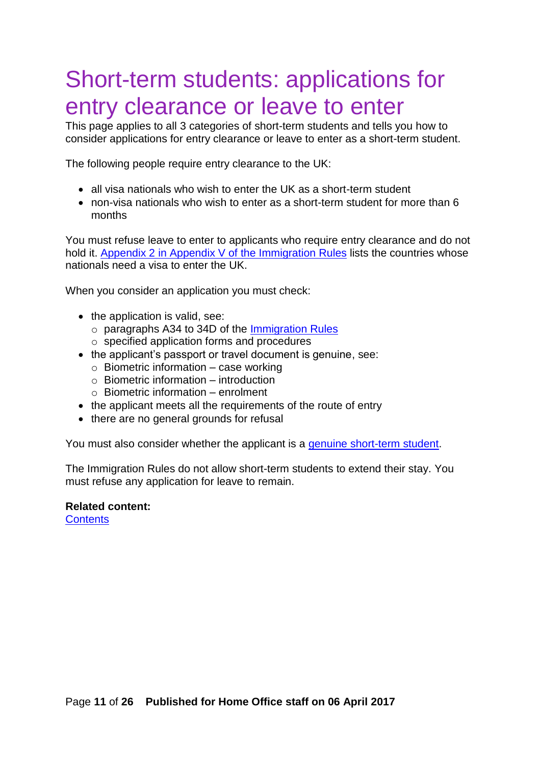## <span id="page-10-0"></span>Short-term students: applications for entry clearance or leave to enter

This page applies to all 3 categories of short-term students and tells you how to consider applications for entry clearance or leave to enter as a short-term student.

The following people require entry clearance to the UK:

- all visa nationals who wish to enter the UK as a short-term student
- non-visa nationals who wish to enter as a short-term student for more than 6 months

You must refuse leave to enter to applicants who require entry clearance and do not hold it. Appendix 2 in Appendix V of the [Immigration Rules](https://www.gov.uk/government/publications/immigration-rules-appendix-v-visitor-rules) lists the countries whose nationals need a visa to enter the UK.

When you consider an application you must check:

- the application is valid, see:
	- o paragraphs A34 to 34D of the [Immigration Rules](https://www.gov.uk/guidance/immigration-rules/immigration-rules-part-1-leave-to-enter-or-stay-in-the-uk)
	- o specified application forms and procedures
- the applicant's passport or travel document is genuine, see:
	- $\circ$  Biometric information case working
	- $\circ$  Biometric information introduction
	- $\circ$  Biometric information enrolment
- the applicant meets all the requirements of the route of entry
- there are no general grounds for refusal

You must also consider whether the applicant is a [genuine short-term student.](#page-11-0)

The Immigration Rules do not allow short-term students to extend their stay. You must refuse any application for leave to remain.

#### **Related content:**

**[Contents](#page-1-0)**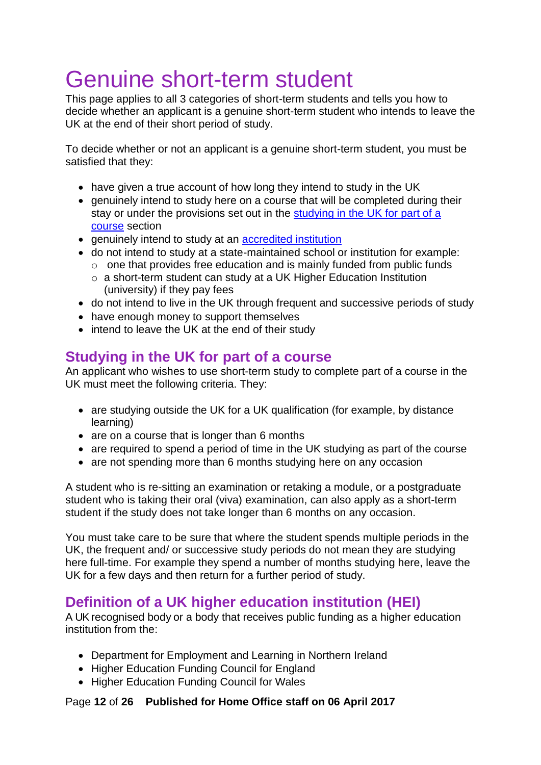# <span id="page-11-0"></span>Genuine short-term student

This page applies to all 3 categories of short-term students and tells you how to decide whether an applicant is a genuine short-term student who intends to leave the UK at the end of their short period of study.

To decide whether or not an applicant is a genuine short-term student, you must be satisfied that they:

- have given a true account of how long they intend to study in the UK
- genuinely intend to study here on a course that will be completed during their stay or under the provisions set out in the [studying in the UK](#page-11-3) for part of a [course](#page-11-3) section
- genuinely intend to study at an [accredited institution](#page-13-0)
- do not intend to study at a state-maintained school or institution for example:
	- $\circ$  one that provides free education and is mainly funded from public funds o a short-term student can study at a UK Higher Education Institution
		- (university) if they pay fees
- do not intend to live in the UK through frequent and successive periods of study
- have enough money to support themselves
- intend to leave the UK at the end of their study

### <span id="page-11-3"></span><span id="page-11-1"></span>**Studying in the UK for part of a course**

An applicant who wishes to use short-term study to complete part of a course in the UK must meet the following criteria. They:

- are studying outside the UK for a UK qualification (for example, by distance learning)
- are on a course that is longer than 6 months
- are required to spend a period of time in the UK studying as part of the course
- are not spending more than 6 months studying here on any occasion

A student who is re-sitting an examination or retaking a module, or a postgraduate student who is taking their oral (viva) examination, can also apply as a short-term student if the study does not take longer than 6 months on any occasion.

You must take care to be sure that where the student spends multiple periods in the UK, the frequent and/ or successive study periods do not mean they are studying here full-time. For example they spend a number of months studying here, leave the UK for a few days and then return for a further period of study.

### <span id="page-11-2"></span>**Definition of a UK higher education institution (HEI)**

A UK recognised body or a body that receives public funding as a higher education institution from the:

- Department for Employment and Learning in Northern Ireland
- Higher Education Funding Council for England
- Higher Education Funding Council for Wales

Page **12** of **26 Published for Home Office staff on 06 April 2017**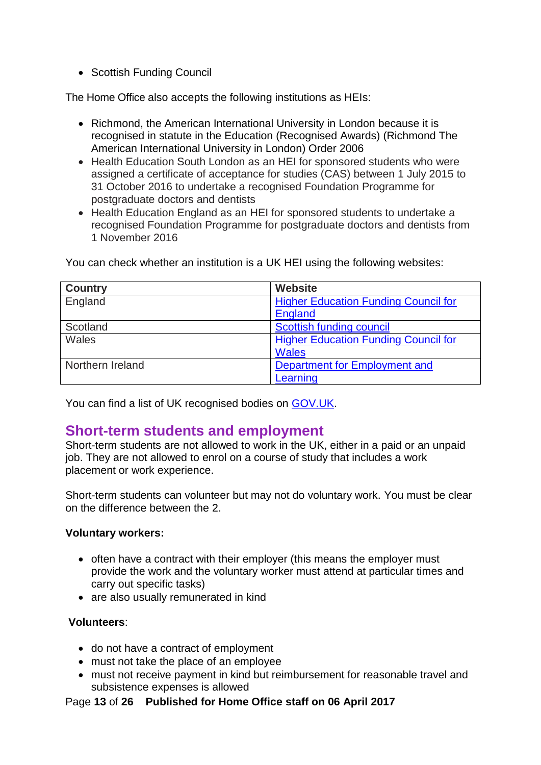• Scottish Funding Council

The Home Office also accepts the following institutions as HEIs:

- Richmond, the American International University in London because it is recognised in statute in the Education (Recognised Awards) (Richmond The American International University in London) Order 2006
- Health Education South London as an HEI for sponsored students who were assigned a certificate of acceptance for studies (CAS) between 1 July 2015 to 31 October 2016 to undertake a recognised Foundation Programme for postgraduate doctors and dentists
- Health Education England as an HEI for sponsored students to undertake a recognised Foundation Programme for postgraduate doctors and dentists from 1 November 2016

| <b>Country</b>   | Website                                     |
|------------------|---------------------------------------------|
| England          | <b>Higher Education Funding Council for</b> |
|                  | <b>England</b>                              |
| Scotland         | Scottish funding council                    |
| Wales            | <b>Higher Education Funding Council for</b> |
|                  | <b>Wales</b>                                |
| Northern Ireland | Department for Employment and               |
|                  | Learning                                    |

You can check whether an institution is a UK HEI using the following websites:

You can find a list of UK recognised bodies on [GOV.UK.](https://www.gov.uk/recognised-uk-degrees#recognised-bodieswww.bis.gov.uk/policies/higher-education/recognised-uk-degrees/recognised-bodies)

### <span id="page-12-0"></span>**Short-term students and employment**

Short-term students are not allowed to work in the UK, either in a paid or an unpaid job. They are not allowed to enrol on a course of study that includes a work placement or work experience.

Short-term students can volunteer but may not do voluntary work. You must be clear on the difference between the 2.

#### **Voluntary workers:**

- often have a contract with their employer (this means the employer must provide the work and the voluntary worker must attend at particular times and carry out specific tasks)
- are also usually remunerated in kind

#### **Volunteers**:

- do not have a contract of employment
- must not take the place of an employee
- must not receive payment in kind but reimbursement for reasonable travel and subsistence expenses is allowed

#### Page **13** of **26 Published for Home Office staff on 06 April 2017**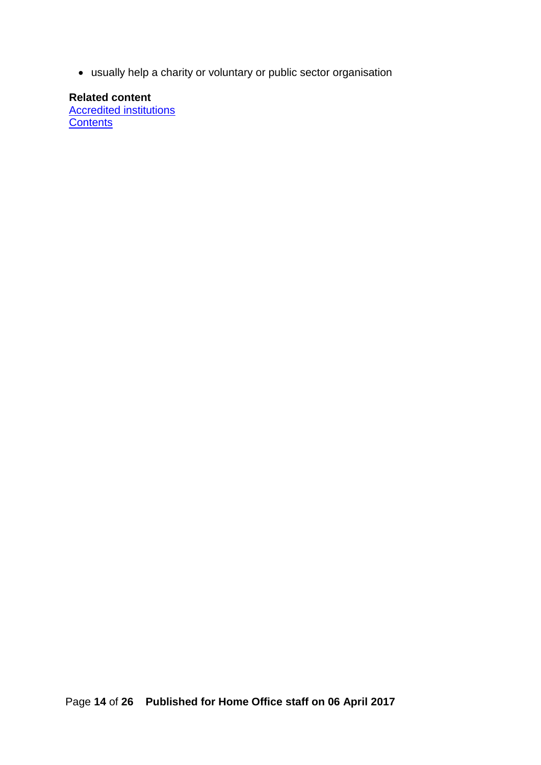usually help a charity or voluntary or public sector organisation

<span id="page-13-0"></span>**Related content**  [Accredited institutions](#page-13-0) **[Contents](#page-1-0)**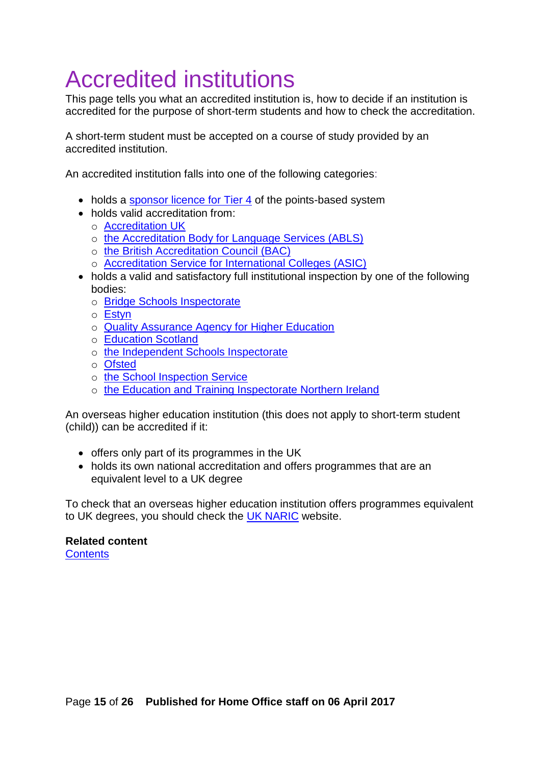# <span id="page-14-0"></span>Accredited institutions

This page tells you what an accredited institution is, how to decide if an institution is accredited for the purpose of short-term students and how to check the accreditation.

A short-term student must be accepted on a course of study provided by an accredited institution.

An accredited institution falls into one of the following categories:

- holds a [sponsor licence for Tier 4](https://www.gov.uk/government/publications/register-of-licensed-sponsors-students) of the points-based system
- holds valid accreditation from:
	- o [Accreditation UK](http://www.britishcouncil.org/education/accreditation/centres)
	- o [the Accreditation Body for Language Services \(ABLS\)](http://www.ablsaccreditation.co.uk/schoolaccinfo.asp)
	- o [the British Accreditation Council \(BAC\)](http://www.the-bac.org/)
	- o [Accreditation Service for International Colleges \(ASIC\)](http://www.asic.org.uk/collegedirectoryUK.php)
- holds a valid and satisfactory full institutional inspection by one of the following bodies:
	- o [Bridge Schools Inspectorate](http://www.bridgeschoolsinspectorate.co.uk/home)
	- o [Estyn](http://www.estyn.gov.uk/)
	- o [Quality Assurance Agency for Higher Education](http://www.qaa.ac.uk/en)
	- o [Education Scotland](http://www.educationscotland.gov.uk/inspectionandreview/index.asp)
	- o [the Independent Schools Inspectorate](http://www.isi.net/home/)
	- o [Ofsted](https://www.gov.uk/government/organisations/ofsted)
	- o [the School Inspection Service](http://www.schoolinspectionservice.co.uk/new/home.html)
	- o [the Education and Training Inspectorate Northern Ireland](https://www.etini.gov.uk/)

An overseas higher education institution (this does not apply to short-term student (child)) can be accredited if it:

- offers only part of its programmes in the UK
- holds its own national accreditation and offers programmes that are an equivalent level to a UK degree

To check that an overseas higher education institution offers programmes equivalent to UK degrees, you should check the [UK NARIC](http://www.naric.org.uk/visasandnationality) website.

### **Related content**

**[Contents](#page-1-0)**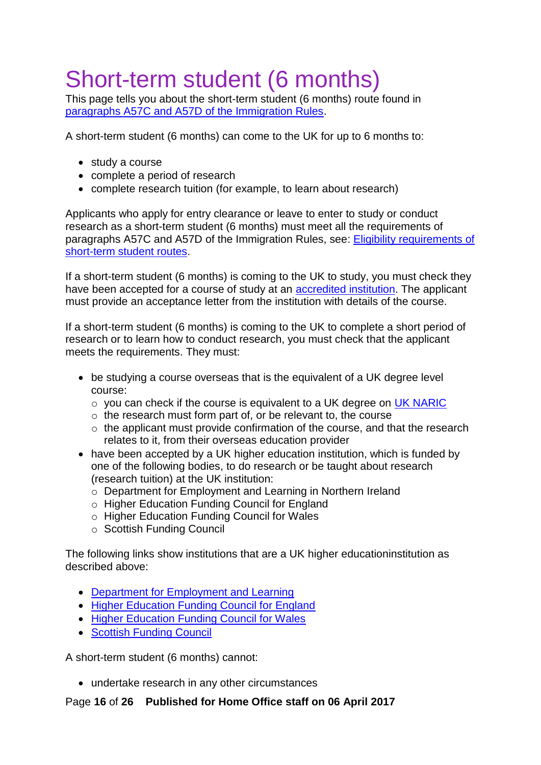# <span id="page-15-0"></span>Short-term student (6 months)

This page tells you about the short-term student (6 months) route found in [paragraphs A57C and A57D of the Immigration Rules.](https://www.gov.uk/guidance/immigration-rules/immigration-rules-part-3-students)

A short-term student (6 months) can come to the UK for up to 6 months to:

- study a course
- complete a period of research
- complete research tuition (for example, to learn about research)

Applicants who apply for entry clearance or leave to enter to study or conduct research as a short-term student (6 months) must meet all the requirements of paragraphs A57C and A57D of the Immigration Rules, see: [Eligibility requirements of](#page-6-0)  [short-term student routes.](#page-6-0)

If a short-term student (6 months) is coming to the UK to study, you must check they have been accepted for a course of study at an [accredited institution.](#page-13-0) The applicant must provide an acceptance letter from the institution with details of the course.

If a short-term student (6 months) is coming to the UK to complete a short period of research or to learn how to conduct research, you must check that the applicant meets the requirements. They must:

- be studying a course overseas that is the equivalent of a UK degree level course:
	- o you can check if the course is equivalent to a UK degree on UK [NARIC](http://www.naric.org.uk/visasandnationality)
	- $\circ$  the research must form part of, or be relevant to, the course
	- o the applicant must provide confirmation of the course, and that the research relates to it, from their overseas education provider
- have been accepted by a UK higher education institution, which is funded by one of the following bodies, to do research or be taught about research (research tuition) at the UK institution:
	- o Department for Employment and Learning in Northern Ireland
	- o Higher Education Funding Council for England
	- o Higher Education Funding Council for Wales
	- o Scottish Funding Council

The following links show institutions that are a UK higher educationinstitution as described above:

- [Department for Employment and Learning](http://www.delni.gov.uk/index/further-and-higher-education/higher-education/role-structure-he-division.htm)
- [Higher Education Funding Council for England](http://www.hefce.ac.uk/TheRegister/)
- [Higher Education Funding Council for Wales](http://www.hefcw.ac.uk/home/home.aspx)
- [Scottish Funding Council](http://www.sfc.ac.uk/funding)

A short-term student (6 months) cannot:

undertake research in any other circumstances

Page **16** of **26 Published for Home Office staff on 06 April 2017**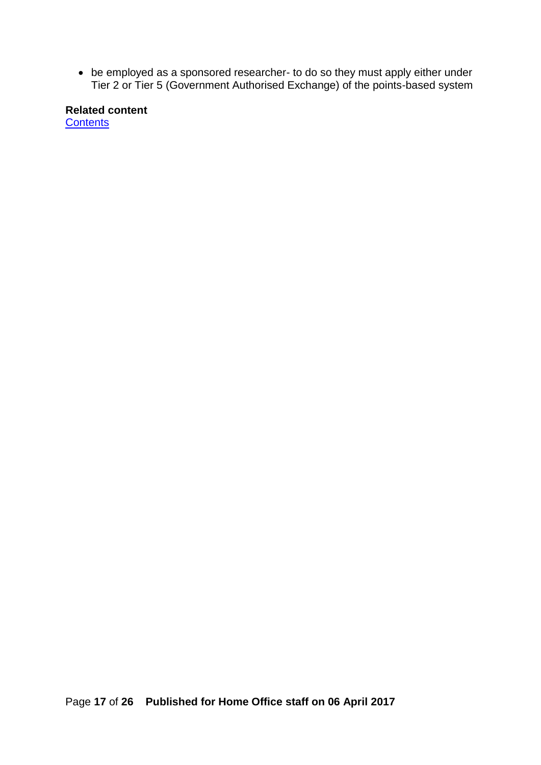be employed as a sponsored researcher- to do so they must apply either under Tier 2 or Tier 5 (Government Authorised Exchange) of the points-based system

**Related content [Contents](#page-1-0)**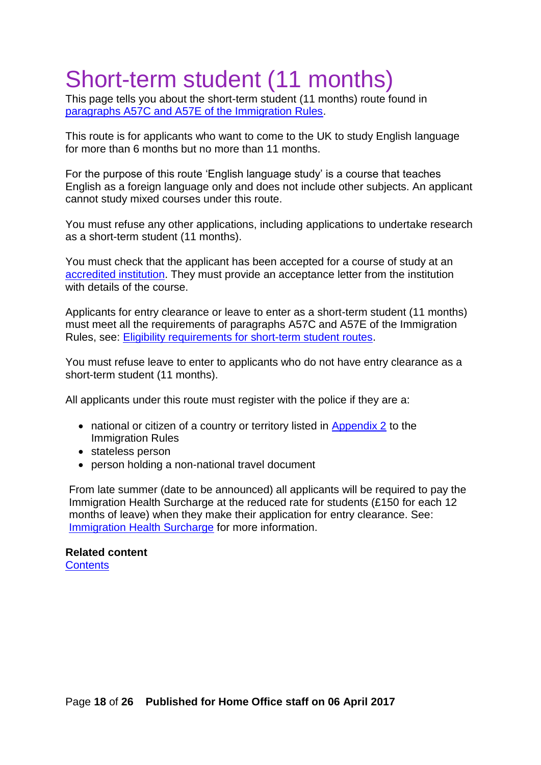# <span id="page-17-0"></span>Short-term student (11 months)

This page tells you about the short-term student (11 months) route found in [paragraphs A57C and A57E of the Immigration Rules.](https://www.gov.uk/guidance/immigration-rules/immigration-rules-part-3-students)

This route is for applicants who want to come to the UK to study English language for more than 6 months but no more than 11 months.

For the purpose of this route 'English language study' is a course that teaches English as a foreign language only and does not include other subjects. An applicant cannot study mixed courses under this route.

You must refuse any other applications, including applications to undertake research as a short-term student (11 months).

You must check that the applicant has been accepted for a course of study at an [accredited institution.](#page-13-0) They must provide an acceptance letter from the institution with details of the course.

Applicants for entry clearance or leave to enter as a short-term student (11 months) must meet all the requirements of paragraphs A57C and A57E of the Immigration Rules, see: [Eligibility requirements for short-term student routes.](#page-6-0)

You must refuse leave to enter to applicants who do not have entry clearance as a short-term student (11 months).

All applicants under this route must register with the police if they are a:

- national or citizen of a country or territory listed in [Appendix 2](https://www.gov.uk/guidance/immigration-rules/immigration-rules-appendix-2-police-registration) to the Immigration Rules
- stateless person
- person holding a non-national travel document

From late summer (date to be announced) all applicants will be required to pay the Immigration Health Surcharge at the reduced rate for students (£150 for each 12 months of leave) when they make their application for entry clearance. See: [Immigration Health Surcharge](https://www.gov.uk/healthcare-immigration-application) for more information.

#### **Related content [Contents](#page-1-0)**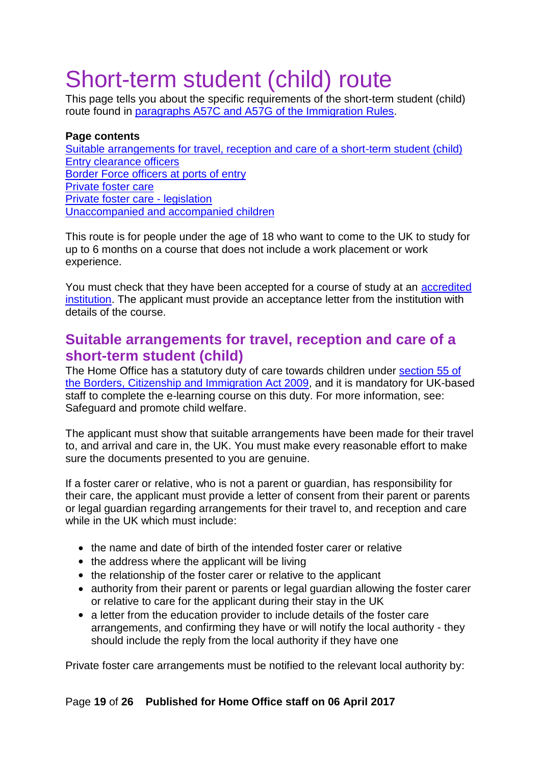# <span id="page-18-0"></span>Short-term student (child) route

This page tells you about the specific requirements of the short-term student (child) route found in [paragraphs A57C and A57G of the Immigration Rules.](https://www.gov.uk/guidance/immigration-rules/immigration-rules-part-3-students)

#### <span id="page-18-1"></span>**Page contents** [Suitable arrangements for travel, reception and care of a short-term student \(child\)](#page-18-2) [Entry clearance officers](#page-19-0) [Border Force officers at ports of entry](#page-19-1) [Private foster care](#page-20-0) [Private foster care -](#page-21-0) legislation [Unaccompanied and accompanied children](#page-21-4)

This route is for people under the age of 18 who want to come to the UK to study for up to 6 months on a course that does not include a work placement or work experience.

You must check that they have been accepted for a course of study at an [accredited](#page-13-0)  [institution.](#page-13-0) The applicant must provide an acceptance letter from the institution with details of the course.

### <span id="page-18-2"></span>**Suitable arrangements for travel, reception and care of a short-term student (child)**

The Home Office has a statutory duty of care towards children under [section](http://www.legislation.gov.uk/ukpga/2009/11/section/55) 55 of [the Borders, Citizenship](http://www.legislation.gov.uk/ukpga/2009/11/section/55) and Immigration Act 2009, and it is mandatory for UK-based staff to complete the e-learning course on this duty. For more information, see: Safeguard and promote child welfare.

The applicant must show that suitable arrangements have been made for their travel to, and arrival and care in, the UK. You must make every reasonable effort to make sure the documents presented to you are genuine.

If a foster carer or relative, who is not a parent or guardian, has responsibility for their care, the applicant must provide a letter of consent from their parent or parents or legal guardian regarding arrangements for their travel to, and reception and care while in the UK which must include:

- the name and date of birth of the intended foster carer or relative
- the address where the applicant will be living
- the relationship of the foster carer or relative to the applicant
- authority from their parent or parents or legal guardian allowing the foster carer or relative to care for the applicant during their stay in the UK
- a letter from the education provider to include details of the foster care arrangements, and confirming they have or will notify the local authority - they should include the reply from the local authority if they have one

Private foster care arrangements must be notified to the relevant local authority by:

#### Page **19** of **26 Published for Home Office staff on 06 April 2017**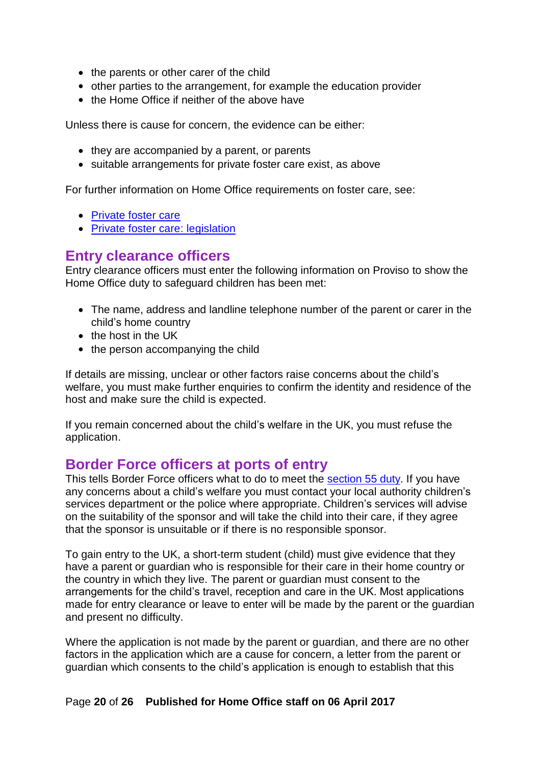- the parents or other carer of the child
- other parties to the arrangement, for example the education provider
- the Home Office if neither of the above have

Unless there is cause for concern, the evidence can be either:

- they are accompanied by a parent, or parents
- suitable arrangements for private foster care exist, as above

For further information on Home Office requirements on foster care, see:

- [Private foster care](#page-20-0)
- [Private foster care:](#page-21-0) legislation

### <span id="page-19-0"></span>**Entry clearance officers**

Entry clearance officers must enter the following information on Proviso to show the Home Office duty to safeguard children has been met:

- The name, address and landline telephone number of the parent or carer in the child's home country
- $\bullet$  the host in the UK
- the person accompanying the child

If details are missing, unclear or other factors raise concerns about the child's welfare, you must make further enquiries to confirm the identity and residence of the host and make sure the child is expected.

If you remain concerned about the child's welfare in the UK, you must refuse the application.

### <span id="page-19-1"></span>**Border Force officers at ports of entry**

This tells Border Force officers what to do to meet the [section](http://www.legislation.gov.uk/ukpga/2009/11/section/55) 55 duty. If you have any concerns about a child's welfare you must contact your local authority children's services department or the police where appropriate. Children's services will advise on the suitability of the sponsor and will take the child into their care, if they agree that the sponsor is unsuitable or if there is no responsible sponsor.

To gain entry to the UK, a short-term student (child) must give evidence that they have a parent or guardian who is responsible for their care in their home country or the country in which they live. The parent or guardian must consent to the arrangements for the child's travel, reception and care in the UK. Most applications made for entry clearance or leave to enter will be made by the parent or the guardian and present no difficulty.

Where the application is not made by the parent or guardian, and there are no other factors in the application which are a cause for concern, a letter from the parent or guardian which consents to the child's application is enough to establish that this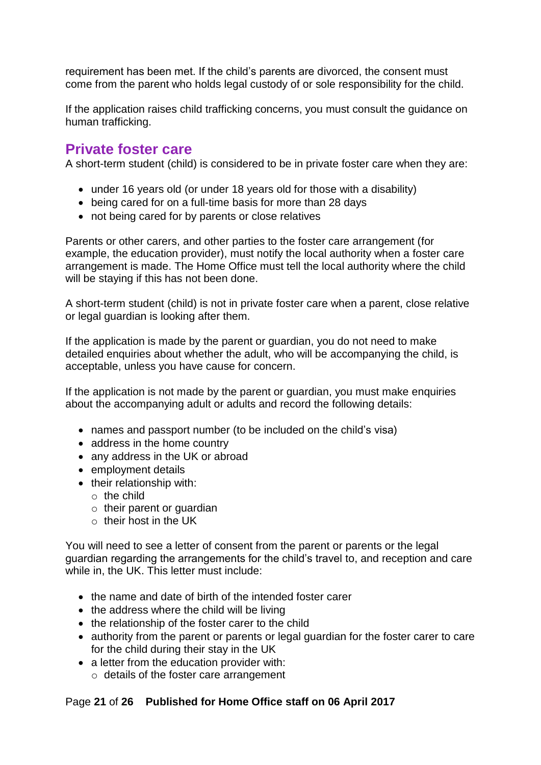requirement has been met. If the child's parents are divorced, the consent must come from the parent who holds legal custody of or sole responsibility for the child.

If the application raises child trafficking concerns, you must consult the guidance on human trafficking.

### <span id="page-20-0"></span>**Private foster care**

A short-term student (child) is considered to be in private foster care when they are:

- under 16 years old (or under 18 years old for those with a disability)
- being cared for on a full-time basis for more than 28 days
- not being cared for by parents or close relatives

Parents or other carers, and other parties to the foster care arrangement (for example, the education provider), must notify the local authority when a foster care arrangement is made. The Home Office must tell the local authority where the child will be staying if this has not been done.

A short-term student (child) is not in private foster care when a parent, close relative or legal guardian is looking after them.

If the application is made by the parent or guardian, you do not need to make detailed enquiries about whether the adult, who will be accompanying the child, is acceptable, unless you have cause for concern.

If the application is not made by the parent or guardian, you must make enquiries about the accompanying adult or adults and record the following details:

- names and passport number (to be included on the child's visa)
- address in the home country
- any address in the UK or abroad
- employment details
- their relationship with:
	- o the child
	- $\circ$  their parent or quardian
	- $\circ$  their host in the UK

You will need to see a letter of consent from the parent or parents or the legal guardian regarding the arrangements for the child's travel to, and reception and care while in, the UK. This letter must include:

- the name and date of birth of the intended foster carer
- $\bullet$  the address where the child will be living
- the relationship of the foster carer to the child
- authority from the parent or parents or legal guardian for the foster carer to care for the child during their stay in the UK
- a letter from the education provider with:
	- o details of the foster care arrangement

#### Page **21** of **26 Published for Home Office staff on 06 April 2017**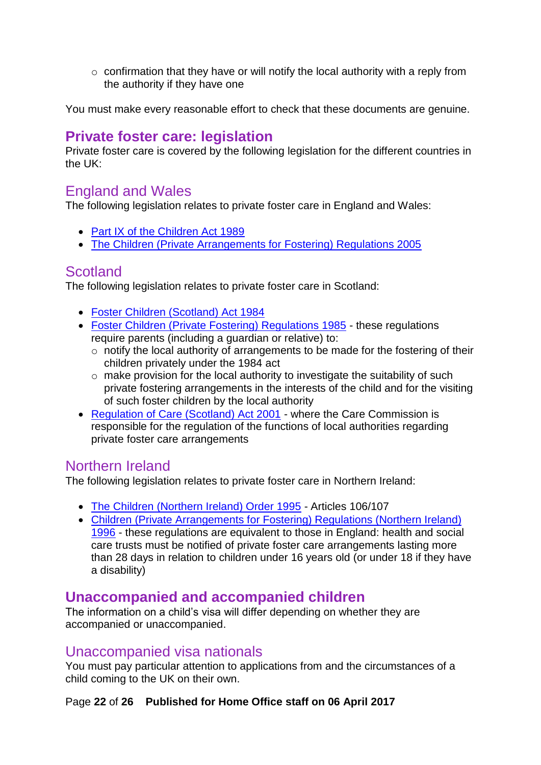$\circ$  confirmation that they have or will notify the local authority with a reply from the authority if they have one

You must make every reasonable effort to check that these documents are genuine.

### <span id="page-21-0"></span>**Private foster care: legislation**

Private foster care is covered by the following legislation for the different countries in the UK:

### <span id="page-21-1"></span>England and Wales

The following legislation relates to private foster care in England and Wales:

- [Part IX of the Children Act 1989](http://www.legislation.gov.uk/ukpga/1989/41/part/IX)
- [The Children \(Private Arrangements for Fostering\) Regulations 2005](http://www.legislation.gov.uk/uksi/2005/1533/contents/made)

### <span id="page-21-2"></span>**Scotland**

The following legislation relates to private foster care in Scotland:

- [Foster Children \(Scotland\) Act 1984](http://www.legislation.gov.uk/ukpga/1984/56)
- [Foster Children \(Private Fostering\) Regulations 1985](http://www.legislation.gov.uk/uksi/1985/1798/made) these regulations require parents (including a guardian or relative) to:
	- o notify the local authority of arrangements to be made for the fostering of their children privately under the 1984 act
	- o make provision for the local authority to investigate the suitability of such private fostering arrangements in the interests of the child and for the visiting of such foster children by the local authority
- [Regulation of Care \(Scotland\) Act 2001](http://www.legislation.gov.uk/asp/2001/8/contents) where the Care Commission is responsible for the regulation of the functions of local authorities regarding private foster care arrangements

### <span id="page-21-3"></span>Northern Ireland

The following legislation relates to private foster care in Northern Ireland:

- The Children (Northern Ireland) [Order 1995](http://www.legislation.gov.uk/nisi/1995/755/part/X/made) Articles 106/107
- Children (Private Arrangements [for Fostering\) Regulations \(Northern](http://www.legislation.gov.uk/nisr/1996/452/contents/made) Ireland) [1996](http://www.legislation.gov.uk/nisr/1996/452/contents/made) - these regulations are equivalent to those in England: health and social care trusts must be notified of private foster care arrangements lasting more than 28 days in relation to children under 16 years old (or under 18 if they have a disability)

### <span id="page-21-4"></span>**Unaccompanied and accompanied children**

The information on a child's visa will differ depending on whether they are accompanied or unaccompanied.

### <span id="page-21-5"></span>Unaccompanied visa nationals

You must pay particular attention to applications from and the circumstances of a child coming to the UK on their own.

#### Page **22** of **26 Published for Home Office staff on 06 April 2017**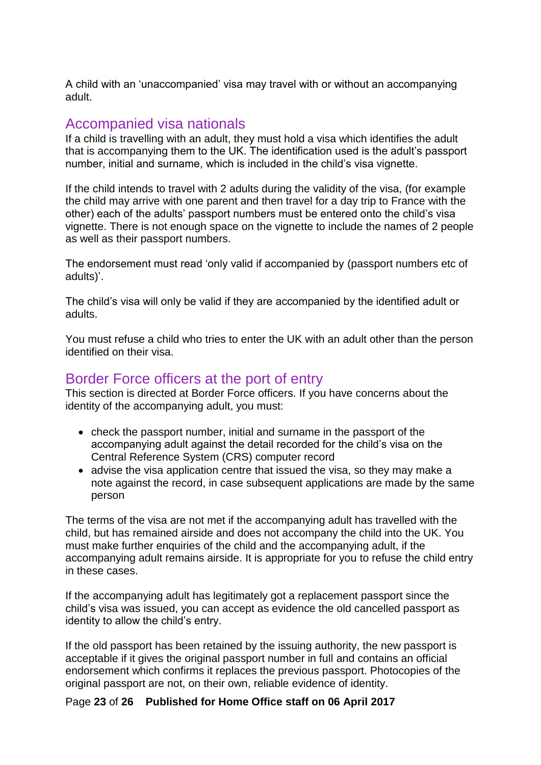A child with an 'unaccompanied' visa may travel with or without an accompanying adult.

### <span id="page-22-0"></span>Accompanied visa nationals

If a child is travelling with an adult, they must hold a visa which identifies the adult that is accompanying them to the UK. The identification used is the adult's passport number, initial and surname, which is included in the child's visa vignette.

If the child intends to travel with 2 adults during the validity of the visa, (for example the child may arrive with one parent and then travel for a day trip to France with the other) each of the adults' passport numbers must be entered onto the child's visa vignette. There is not enough space on the vignette to include the names of 2 people as well as their passport numbers.

The endorsement must read 'only valid if accompanied by (passport numbers etc of adults)'.

The child's visa will only be valid if they are accompanied by the identified adult or adults.

You must refuse a child who tries to enter the UK with an adult other than the person identified on their visa.

### <span id="page-22-1"></span>Border Force officers at the port of entry

This section is directed at Border Force officers. If you have concerns about the identity of the accompanying adult, you must:

- check the passport number, initial and surname in the passport of the accompanying adult against the detail recorded for the child's visa on the Central Reference System (CRS) computer record
- advise the visa application centre that issued the visa, so they may make a note against the record, in case subsequent applications are made by the same person

The terms of the visa are not met if the accompanying adult has travelled with the child, but has remained airside and does not accompany the child into the UK. You must make further enquiries of the child and the accompanying adult, if the accompanying adult remains airside. It is appropriate for you to refuse the child entry in these cases.

If the accompanying adult has legitimately got a replacement passport since the child's visa was issued, you can accept as evidence the old cancelled passport as identity to allow the child's entry.

If the old passport has been retained by the issuing authority, the new passport is acceptable if it gives the original passport number in full and contains an official endorsement which confirms it replaces the previous passport. Photocopies of the original passport are not, on their own, reliable evidence of identity.

Page **23** of **26 Published for Home Office staff on 06 April 2017**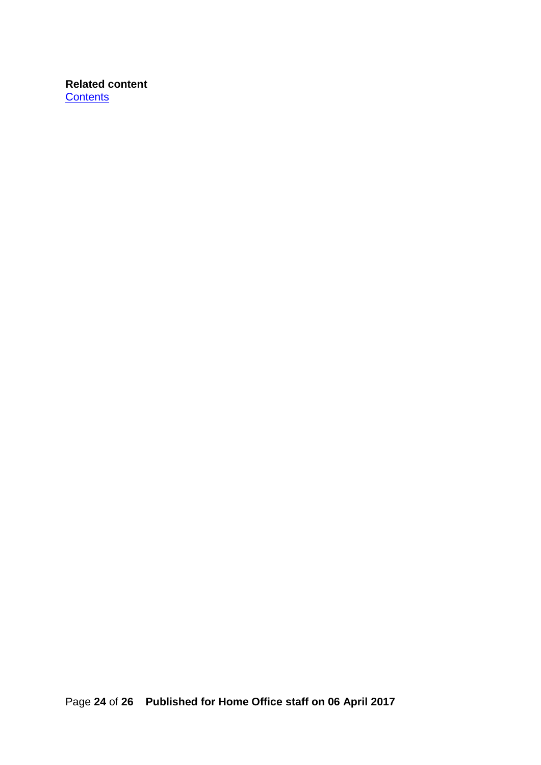**Related content [Contents](#page-1-0)**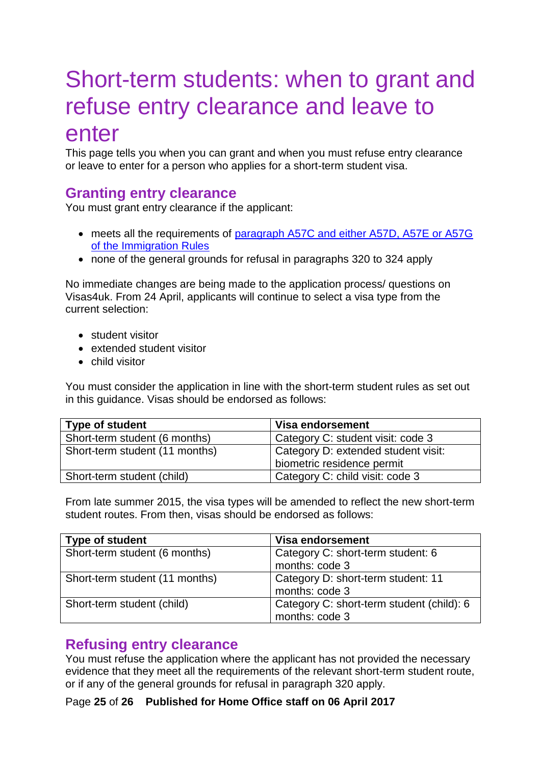## <span id="page-24-0"></span>Short-term students: when to grant and refuse entry clearance and leave to enter

This page tells you when you can grant and when you must refuse entry clearance or leave to enter for a person who applies for a short-term student visa.

### <span id="page-24-1"></span>**Granting entry clearance**

You must grant entry clearance if the applicant:

- meets all the requirements of [paragraph A57C and either A57D, A57E or A57G](https://www.gov.uk/guidance/immigration-rules/immigration-rules-part-3-students) [of the Immigration Rules](https://www.gov.uk/guidance/immigration-rules/immigration-rules-part-3-students)
- none of the general grounds for refusal in paragraphs 320 to 324 apply

No immediate changes are being made to the application process/ questions on Visas4uk. From 24 April, applicants will continue to select a visa type from the current selection:

- student visitor
- extended student visitor
- child visitor

You must consider the application in line with the short-term student rules as set out in this guidance. Visas should be endorsed as follows:

| <b>Type of student</b>         | Visa endorsement                    |
|--------------------------------|-------------------------------------|
| Short-term student (6 months)  | Category C: student visit: code 3   |
| Short-term student (11 months) | Category D: extended student visit: |
|                                | biometric residence permit          |
| Short-term student (child)     | Category C: child visit: code 3     |

From late summer 2015, the visa types will be amended to reflect the new short-term student routes. From then, visas should be endorsed as follows:

| Type of student                | Visa endorsement                                            |
|--------------------------------|-------------------------------------------------------------|
| Short-term student (6 months)  | Category C: short-term student: 6<br>months: code 3         |
| Short-term student (11 months) | Category D: short-term student: 11<br>months: code 3        |
| Short-term student (child)     | Category C: short-term student (child): 6<br>months: code 3 |

### <span id="page-24-2"></span>**Refusing entry clearance**

You must refuse the application where the applicant has not provided the necessary evidence that they meet all the requirements of the relevant short-term student route, or if any of the general grounds for refusal in paragraph 320 apply.

Page **25** of **26 Published for Home Office staff on 06 April 2017**